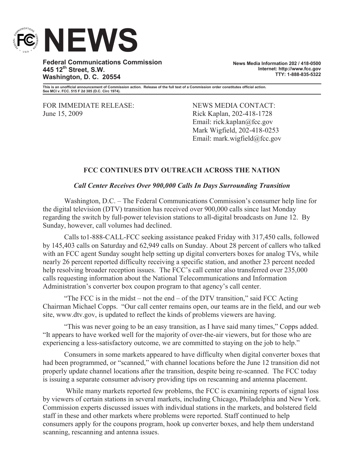

**Federal Communications Commission 445 12th Street, S.W. Washington, D. C. 20554**

**News Media Information 202 / 418-0500 Internet: http://www.fcc.gov TTY: 1-888-835-5322**

**This is an unofficial announcement of Commission action. Release of the full text of a Commission order constitutes official action. See MCI v. FCC. 515 F 2d 385 (D.C. Circ 1974).**

FOR IMMEDIATE RELEASE: NEWS MEDIA CONTACT: June 15, 2009 Rick Kaplan, 202-418-1728

Email: rick.kaplan@fcc.gov Mark Wigfield, 202-418-0253 Email: mark.wigfield@fcc.gov

## **FCC CONTINUES DTV OUTREACH ACROSS THE NATION**

## *Call Center Receives Over 900,000 Calls In Days Surrounding Transition*

Washington, D.C. – The Federal Communications Commission's consumer help line for the digital television (DTV) transition has received over 900,000 calls since last Monday regarding the switch by full-power television stations to all-digital broadcasts on June 12. By Sunday, however, call volumes had declined.

Calls to1-888-CALL-FCC seeking assistance peaked Friday with 317,450 calls, followed by 145,403 calls on Saturday and 62,949 calls on Sunday. About 28 percent of callers who talked with an FCC agent Sunday sought help setting up digital converters boxes for analog TVs, while nearly 26 percent reported difficulty receiving a specific station, and another 23 percent needed help resolving broader reception issues. The FCC's call center also transferred over 235,000 calls requesting information about the National Telecommunications and Information Administration's converter box coupon program to that agency's call center.

"The FCC is in the midst – not the end – of the DTV transition," said FCC Acting Chairman Michael Copps. "Our call center remains open, our teams are in the field, and our web site, www.dtv.gov, is updated to reflect the kinds of problems viewers are having.

"This was never going to be an easy transition, as I have said many times," Copps added. "It appears to have worked well for the majority of over-the-air viewers, but for those who are experiencing a less-satisfactory outcome, we are committed to staying on the job to help."

Consumers in some markets appeared to have difficulty when digital converter boxes that had been programmed, or "scanned," with channel locations before the June 12 transition did not properly update channel locations after the transition, despite being re-scanned. The FCC today is issuing a separate consumer advisory providing tips on rescanning and antenna placement.

While many markets reported few problems, the FCC is examining reports of signal loss by viewers of certain stations in several markets, including Chicago, Philadelphia and New York. Commission experts discussed issues with individual stations in the markets, and bolstered field staff in these and other markets where problems were reported. Staff continued to help consumers apply for the coupons program, hook up converter boxes, and help them understand scanning, rescanning and antenna issues.